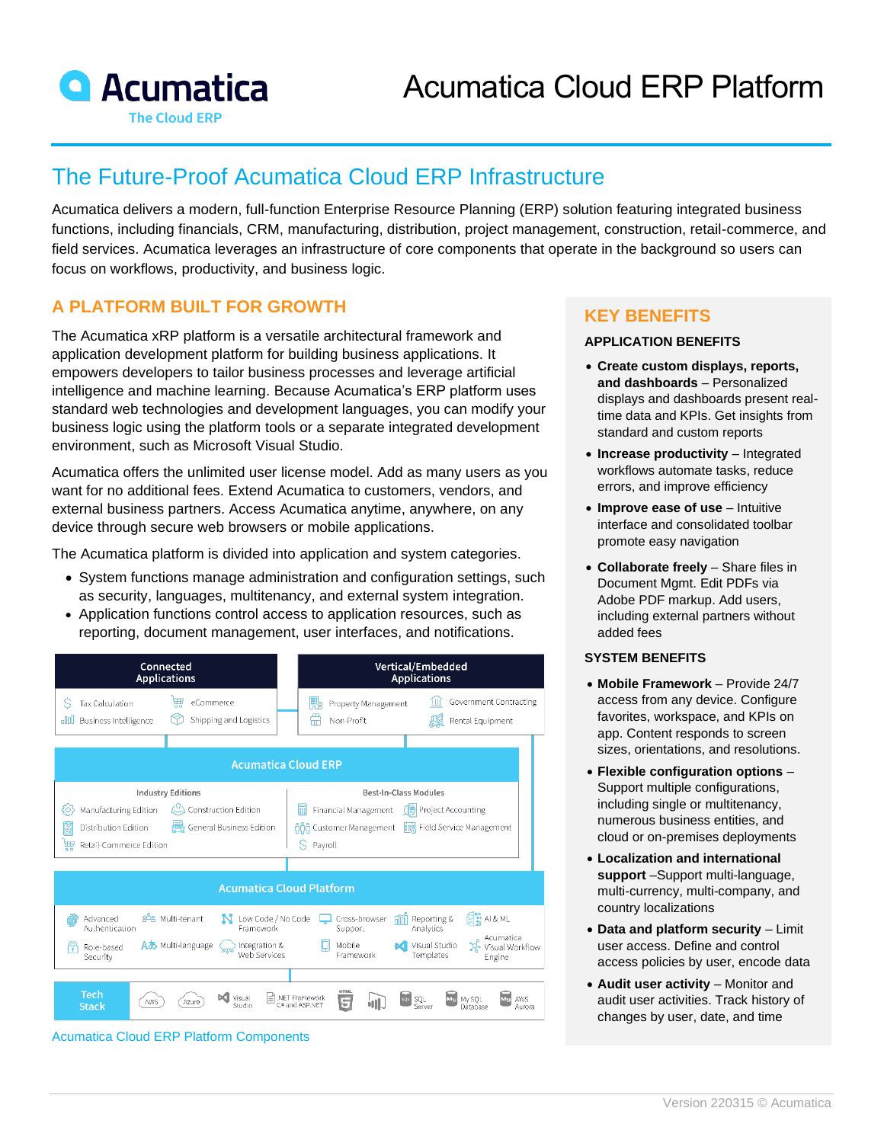

# The Future-Proof Acumatica Cloud ERP Infrastructure

Acumatica delivers a modern, full-function Enterprise Resource Planning (ERP) solution featuring integrated business functions, including financials, CRM, manufacturing, distribution, project management, construction, retail-commerce, and field services. Acumatica leverages an infrastructure of core components that operate in the background so users can focus on workflows, productivity, and business logic.

## **A PLATFORM BUILT FOR GROWTH**

The Acumatica xRP platform is a versatile architectural framework and application development platform for building business applications. It empowers developers to tailor business processes and leverage artificial intelligence and machine learning. Because Acumatica's ERP platform uses standard web technologies and development languages, you can modify your business logic using the platform tools or a separate integrated development environment, such as Microsoft Visual Studio.

Acumatica offers the unlimited user license model. Add as many users as you want for no additional fees. Extend Acumatica to customers, vendors, and external business partners. Access Acumatica anytime, anywhere, on any device through secure web browsers or mobile applications.

The Acumatica platform is divided into application and system categories.

- System functions manage administration and configuration settings, such as security, languages, multitenancy, and external system integration.
- Application functions control access to application resources, such as reporting, document management, user interfaces, and notifications.



**KEY BENEFITS**

#### **APPLICATION BENEFITS**

- **Create custom displays, reports, and dashboards** – Personalized displays and dashboards present realtime data and KPIs. Get insights from standard and custom reports
- **Increase productivity** Integrated workflows automate tasks, reduce errors, and improve efficiency
- **Improve ease of use**  Intuitive interface and consolidated toolbar promote easy navigation
- **Collaborate freely** Share files in Document Mgmt. Edit PDFs via Adobe PDF markup. Add users, including external partners without added fees

#### **SYSTEM BENEFITS**

- **Mobile Framework** Provide 24/7 access from any device. Configure favorites, workspace, and KPIs on app. Content responds to screen sizes, orientations, and resolutions.
- **Flexible configuration options** Support multiple configurations, including single or multitenancy, numerous business entities, and cloud or on-premises deployments
- **Localization and international support** –Support multi-language, multi-currency, multi-company, and country localizations
- **Data and platform security** Limit user access. Define and control access policies by user, encode data
- **Audit user activity** Monitor and audit user activities. Track history of changes by user, date, and time